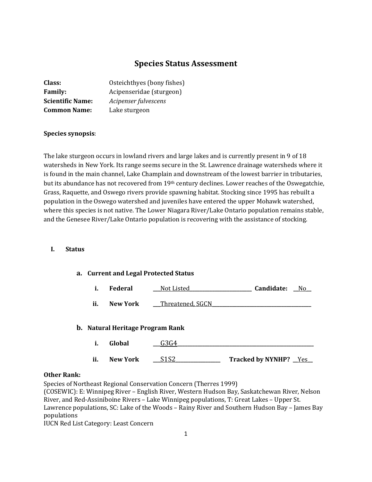# **Species Status Assessment**

| Class:                  | Osteichthyes (bony fishes) |
|-------------------------|----------------------------|
| <b>Family:</b>          | Acipenseridae (sturgeon)   |
| <b>Scientific Name:</b> | Acipenser fulvescens       |
| <b>Common Name:</b>     | Lake sturgeon              |

## **Species synopsis**:

The lake sturgeon occurs in lowland rivers and large lakes and is currently present in 9 of 18 watersheds in New York. Its range seems secure in the St. Lawrence drainage watersheds where it is found in the main channel, Lake Champlain and downstream of the lowest barrier in tributaries, but its abundance has not recovered from 19th century declines. Lower reaches of the Oswegatchie, Grass, Raquette, and Oswego rivers provide spawning habitat. Stocking since 1995 has rebuilt a population in the Oswego watershed and juveniles have entered the upper Mohawk watershed, where this species is not native. The Lower Niagara River/Lake Ontario population remains stable, and the Genesee River/Lake Ontario population is recovering with the assistance of stocking.

#### **I. Status**

#### **a. Current and Legal Protected Status**

|  | Federal | Not Listed | <b>Candidate:</b> | N٢ |
|--|---------|------------|-------------------|----|
|--|---------|------------|-------------------|----|

**ii. New York \_\_\_Threatened, SGCN** 

#### **b. Natural Heritage Program Rank**

- **i. Global \_\_\_**G3G4**\_\_\_\_\_\_\_\_\_\_\_\_\_\_\_\_\_\_\_\_\_\_\_\_\_\_\_\_\_\_\_\_\_\_\_\_\_\_\_\_\_\_\_\_\_\_\_\_\_\_\_\_\_\_\_**
- **ii. New York S1S2 Tracked by NYNHP?** Yes

## **Other Rank:**

Species of Northeast Regional Conservation Concern (Therres 1999)

(COSEWIC): E: Winnipeg River – English River, Western Hudson Bay, Saskatchewan River, Nelson River, and Red-Assiniboine Rivers – Lake Winnipeg populations, T: Great Lakes – Upper St. Lawrence populations, SC: Lake of the Woods – Rainy River and Southern Hudson Bay – James Bay populations

IUCN Red List Category: Least Concern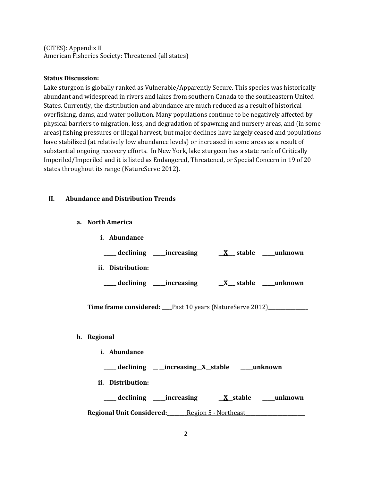(CITES): Appendix II American Fisheries Society: Threatened (all states)

#### **Status Discussion:**

Lake sturgeon is globally ranked as Vulnerable/Apparently Secure. This species was historically abundant and widespread in rivers and lakes from southern Canada to the southeastern United States. Currently, the distribution and abundance are much reduced as a result of historical overfishing, dams, and water pollution. Many populations continue to be negatively affected by physical barriers to migration, loss, and degradation of spawning and nursery areas, and (in some areas) fishing pressures or illegal harvest, but major declines have largely ceased and populations have stabilized (at relatively low abundance levels) or increased in some areas as a result of substantial ongoing recovery efforts. In New York, lake sturgeon has a state rank of Critically Imperiled/Imperiled and it is listed as Endangered, Threatened, or Special Concern in 19 of 20 states throughout its range (NatureServe 2012).

## **II. Abundance and Distribution Trends**

**a. North America**

**.** 

| <i>i.</i> Abundance                                         |
|-------------------------------------------------------------|
| ___declining ___increasing ___ <u>X__</u> stable ___unknown |
| ii. Distribution:                                           |
|                                                             |
| Time frame considered: Past 10 years (NatureServe 2012)     |
| Regional                                                    |
| <i>i.</i> Abundance                                         |
| ___ declining ___increasing <u>X</u> stable ___unknown      |
| ii. Distribution:                                           |
| declining _______increasing<br>X stable _____unknown        |

**Regional Unit Considered:\_\_\_\_\_\_\_\_**Region 5 - Northeast**\_\_\_\_\_\_\_\_\_\_\_\_\_\_\_\_\_\_\_\_\_\_\_\_**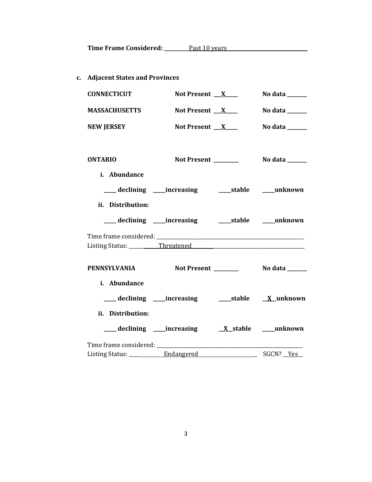**c. Adjacent States and Provinces**

| <b>CONNECTICUT</b>   | Not Present $X$                                        | No data ______                  |
|----------------------|--------------------------------------------------------|---------------------------------|
| <b>MASSACHUSETTS</b> | Not Present $X$                                        | No data $\_\_\_\_\_\_\_\_\_\_\$ |
| <b>NEW JERSEY</b>    | Not Present X                                          | No data ______                  |
| <b>ONTARIO</b>       |                                                        |                                 |
| i. Abundance         |                                                        |                                 |
|                      | ___ declining ___ increasing _____ stable ____ unknown |                                 |
| ii. Distribution:    |                                                        |                                 |
|                      |                                                        |                                 |
|                      |                                                        |                                 |
|                      |                                                        |                                 |
| <b>PENNSYLVANIA</b>  |                                                        |                                 |
| i. Abundance         |                                                        |                                 |
|                      |                                                        |                                 |
| ii. Distribution:    |                                                        |                                 |
|                      |                                                        |                                 |
|                      |                                                        |                                 |
|                      |                                                        |                                 |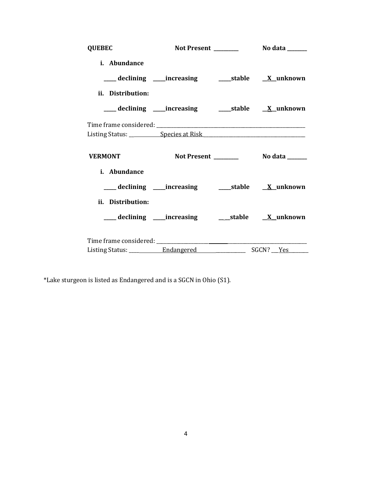| <b>QUEBEC</b>     |                                                          |  |
|-------------------|----------------------------------------------------------|--|
| i. Abundance      |                                                          |  |
|                   |                                                          |  |
| ii. Distribution: |                                                          |  |
|                   | ___declining ___increasing _____stable _____X_unknown    |  |
|                   |                                                          |  |
|                   |                                                          |  |
| <b>VERMONT</b>    |                                                          |  |
| i. Abundance      |                                                          |  |
|                   | ___declining ___increasing ____stable <u>X</u> _unknown  |  |
| ii. Distribution: |                                                          |  |
|                   | ___ declining ____increasing ______stable _____X_unknown |  |
|                   |                                                          |  |
|                   |                                                          |  |

\*Lake sturgeon is listed as Endangered and is a SGCN in Ohio (S1).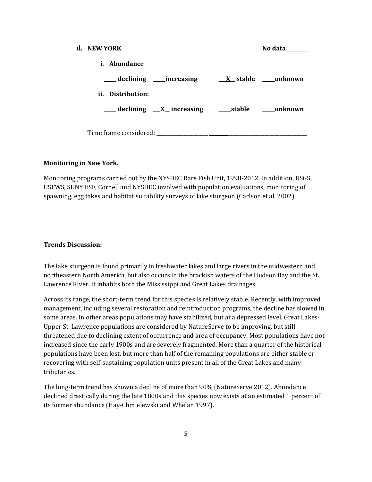| d. NEW YORK         |                                                             | No data ______ |
|---------------------|-------------------------------------------------------------|----------------|
| <i>i.</i> Abundance |                                                             |                |
|                     |                                                             |                |
| ii. Distribution:   |                                                             |                |
|                     | ____ declining <u>X</u> increasing ____ stable ____ unknown |                |
|                     |                                                             |                |
|                     |                                                             |                |

#### **Monitoring in New York.**

Monitoring programs carried out by the NYSDEC Rare Fish Unit, 1998-2012. In addition, USGS, USFWS, SUNY ESF, Cornell and NYSDEC involved with population evaluations, monitoring of spawning, egg takes and habitat suitability surveys of lake sturgeon (Carlson et al. 2002).

#### **Trends Discussion:**

The lake sturgeon is found primarily in freshwater lakes and large rivers in the midwestern and northeastern North America, but also occurs in the brackish waters of the Hudson Bay and the St. Lawrence River. It inhabits both the Mississippi and Great Lakes drainages.

Across its range, the short-term trend for this species is relatively stable. Recently, with improved management, including several restoration and reintroduction programs, the decline has slowed in some areas. In other areas populations may have stabilized, but at a depressed level. Great Lakes-Upper St. Lawrence populations are considered by NatureServe to be improving, but still threatened due to declining extent of occurrence and area of occupancy. Most populations have not increased since the early 1900s and are severely fragmented. More than a quarter of the historical populations have been lost, but more than half of the remaining populations are either stable or recovering with self-sustaining population units present in all of the Great Lakes and many tributaries.

The long-term trend has shown a decline of more than 90% (NatureServe 2012). Abundance declined drastically during the late 1800s and this species now exists at an estimated 1 percent of its former abundance (Hay-Chmielewski and Whelan 1997).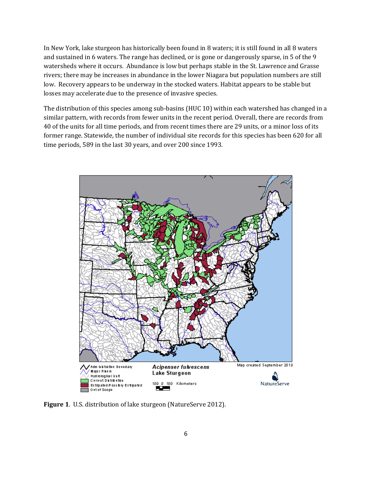In New York, lake sturgeon has historically been found in 8 waters; it is still found in all 8 waters and sustained in 6 waters. The range has declined, or is gone or dangerously sparse, in 5 of the 9 watersheds where it occurs. Abundance is low but perhaps stable in the St. Lawrence and Grasse rivers; there may be increases in abundance in the lower Niagara but population numbers are still low. Recovery appears to be underway in the stocked waters. Habitat appears to be stable but losses may accelerate due to the presence of invasive species.

The distribution of this species among sub-basins (HUC 10) within each watershed has changed in a similar pattern, with records from fewer units in the recent period. Overall, there are records from 40 of the units for all time periods, and from recent times there are 29 units, or a minor loss of its former range. Statewide, the number of individual site records for this species has been 620 for all time periods, 589 in the last 30 years, and over 200 since 1993.



**Figure 1**. U.S. distribution of lake sturgeon (NatureServe 2012).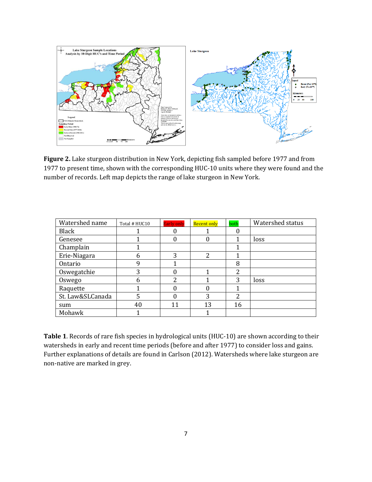

**Figure 2.** Lake sturgeon distribution in New York, depicting fish sampled before 1977 and from 1977 to present time, shown with the corresponding HUC-10 units where they were found and the number of records. Left map depicts the range of lake sturgeon in New York.

| Watershed name   | Total # HUC10 | <b>Early only</b> | <b>Recent only</b> | both                     | Watershed status |
|------------------|---------------|-------------------|--------------------|--------------------------|------------------|
| <b>Black</b>     |               |                   |                    |                          |                  |
| Genesee          |               | 0                 | 0                  |                          | loss             |
| Champlain        |               |                   |                    |                          |                  |
| Erie-Niagara     | 6             | 3                 | 2                  |                          |                  |
| Ontario          | q             |                   |                    | 8                        |                  |
| Oswegatchie      | 3             |                   |                    | $\overline{\mathcal{L}}$ |                  |
| Oswego           | 6             | 2                 |                    | 3                        | loss             |
| Raquette         |               |                   |                    |                          |                  |
| St. Law&SLCanada | 5             |                   | 3                  | 2                        |                  |
| sum              | 40            | 11                | 13                 | 16                       |                  |
| Mohawk           |               |                   |                    |                          |                  |

**Table 1**. Records of rare fish species in hydrological units (HUC-10) are shown according to their watersheds in early and recent time periods (before and after 1977) to consider loss and gains. Further explanations of details are found in Carlson (2012). Watersheds where lake sturgeon are non-native are marked in grey.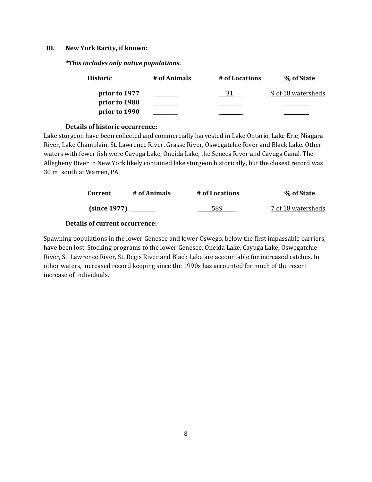#### **III. New York Rarity, if known:**

*\*This includes only native populations.*

| <b>Historic</b> | # of Animals | # of Locations | % of State         |
|-----------------|--------------|----------------|--------------------|
| prior to 1977   |              | 31             | 9 of 18 watersheds |
| prior to 1980   |              |                |                    |
| prior to 1990   |              |                |                    |

#### **Details of historic occurrence:**

Lake sturgeon have been collected and commercially harvested in Lake Ontario, Lake Erie, Niagara River, Lake Champlain, St. Lawrence River, Grasse River, Oswegatchie River and Black Lake. Other waters with fewer fish were Cayuga Lake, Oneida Lake, the Seneca River and Cayuga Canal. The Allegheny River in New York likely contained lake sturgeon historically, but the closest record was 30 mi south at Warren, PA.

| Current      | # of Animals | # of Locations | % of State         |
|--------------|--------------|----------------|--------------------|
| (since 1977) |              | 589            | 7 of 18 watersheds |

## **Details of current occurrence:**

Spawning populations in the lower Genesee and lower Oswego, below the first impassable barriers, have been lost. Stocking programs to the lower Genesee, Oneida Lake, Cayuga Lake, Oswegatchie River, St. Lawrence River, St. Regis River and Black Lake are accountable for increased catches. In other waters, increased record keeping since the 1990s has accounted for much of the recent increase of individuals.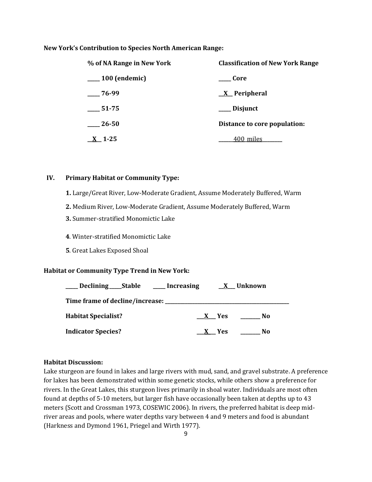#### **New York's Contribution to Species North American Range:**

| % of NA Range in New York | <b>Classification of New York Range</b> |  |
|---------------------------|-----------------------------------------|--|
| <sub>100</sub> (endemic)  | Core                                    |  |
| $-76-99$                  | $\underline{X}$ Peripheral              |  |
| 51-75                     | ___ Disjunct                            |  |
| $\_\$ {26-50}             | Distance to core population:            |  |
| $X_{-}$ 1-25              | 400_miles                               |  |

### **IV. Primary Habitat or Community Type:**

- **1.** Large/Great River, Low-Moderate Gradient, Assume Moderately Buffered, Warm
- **2.** Medium River, Low-Moderate Gradient, Assume Moderately Buffered, Warm
- **3.** Summer-stratified Monomictic Lake
- **4**. Winter-stratified Monomictic Lake
- **5**. Great Lakes Exposed Shoal

#### **Habitat or Community Type Trend in New York:**

| ____ Declining ____ Stable            | _____ Increasing | X Unknown  |     |
|---------------------------------------|------------------|------------|-----|
| Time frame of decline/increase: _____ |                  |            |     |
| <b>Habitat Specialist?</b>            | X Yes            |            | No. |
| <b>Indicator Species?</b>             |                  | <b>Yes</b> | No  |

#### **Habitat Discussion:**

Lake sturgeon are found in lakes and large rivers with mud, sand, and gravel substrate. A preference for lakes has been demonstrated within some genetic stocks, while others show a preference for rivers. In the Great Lakes, this sturgeon lives primarily in shoal water. Individuals are most often found at depths of 5-10 meters, but larger fish have occasionally been taken at depths up to 43 meters (Scott and Crossman 1973, COSEWIC 2006). In rivers, the preferred habitat is deep midriver areas and pools, where water depths vary between 4 and 9 meters and food is abundant (Harkness and Dymond 1961, Priegel and Wirth 1977).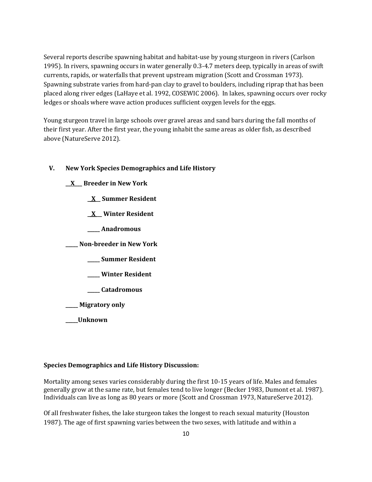Several reports describe spawning habitat and habitat-use by young sturgeon in rivers (Carlson 1995). In rivers, spawning occurs in water generally 0.3-4.7 meters deep, typically in areas of swift currents, rapids, or waterfalls that prevent upstream migration (Scott and Crossman 1973). Spawning substrate varies from hard-pan clay to gravel to boulders, including riprap that has been placed along river edges (LaHaye et al. 1992, COSEWIC 2006). In lakes, spawning occurs over rocky ledges or shoals where wave action produces sufficient oxygen levels for the eggs.

Young sturgeon travel in large schools over gravel areas and sand bars during the fall months of their first year. After the first year, the young inhabit the same areas as older fish, as described above (NatureServe 2012).

## **V. New York Species Demographics and Life History**

- **\_\_X\_\_\_ Breeder in New York**
	- **\_ X\_\_ Summer Resident**
	- **\_ X \_\_ Winter Resident**
	- **\_\_\_\_\_ Anadromous**

**\_\_\_\_\_ Non-breeder in New York**

- **\_\_\_\_\_ Summer Resident**
- **\_\_\_\_\_ Winter Resident**
- **\_\_\_\_\_ Catadromous**
- **\_\_\_\_\_ Migratory only**
- **\_\_\_\_\_Unknown**

#### **Species Demographics and Life History Discussion:**

Mortality among sexes varies considerably during the first 10-15 years of life. Males and females generally grow at the same rate, but females tend to live longer (Becker 1983, Dumont et al. 1987). Individuals can live as long as 80 years or more (Scott and Crossman 1973, NatureServe 2012).

Of all freshwater fishes, the lake sturgeon takes the longest to reach sexual maturity (Houston 1987). The age of first spawning varies between the two sexes, with latitude and within a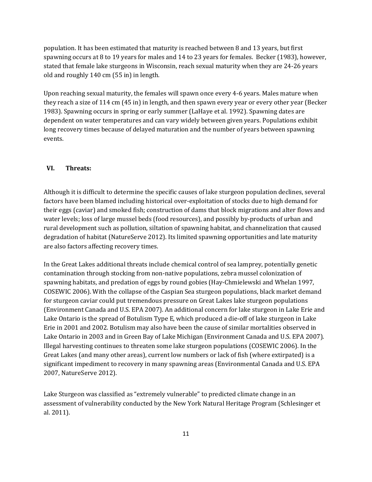population. It has been estimated that maturity is reached between 8 and 13 years, but first spawning occurs at 8 to 19 years for males and 14 to 23 years for females. Becker (1983), however, stated that female lake sturgeons in Wisconsin, reach sexual maturity when they are 24-26 years old and roughly 140 cm (55 in) in length.

Upon reaching sexual maturity, the females will spawn once every 4-6 years. Males mature when they reach a size of 114 cm (45 in) in length, and then spawn every year or every other year (Becker 1983). Spawning occurs in spring or early summer (LaHaye et al. 1992). Spawning dates are dependent on water temperatures and can vary widely between given years. Populations exhibit long recovery times because of delayed maturation and the number of years between spawning events.

#### **VI. Threats:**

Although it is difficult to determine the specific causes of lake sturgeon population declines, several factors have been blamed including historical over-exploitation of stocks due to high demand for their eggs (caviar) and smoked fish; construction of dams that block migrations and alter flows and water levels; loss of large mussel beds (food resources), and possibly by-products of urban and rural development such as pollution, siltation of spawning habitat, and channelization that caused degradation of habitat (NatureServe 2012). Its limited spawning opportunities and late maturity are also factors affecting recovery times.

In the Great Lakes additional threats include chemical control of sea lamprey, potentially genetic contamination through stocking from non-native populations, zebra mussel colonization of spawning habitats, and predation of eggs by round gobies (Hay-Chmielewski and Whelan 1997, COSEWIC 2006). With the collapse of the Caspian Sea sturgeon populations, black market demand for sturgeon caviar could put tremendous pressure on Great Lakes lake sturgeon populations (Environment Canada and U.S. EPA 2007). An additional concern for lake sturgeon in Lake Erie and Lake Ontario is the spread of Botulism Type E, which produced a die-off of lake sturgeon in Lake Erie in 2001 and 2002. Botulism may also have been the cause of similar mortalities observed in Lake Ontario in 2003 and in Green Bay of Lake Michigan (Environment Canada and U.S. EPA 2007). Illegal harvesting continues to threaten some lake sturgeon populations (COSEWIC 2006). In the Great Lakes (and many other areas), current low numbers or lack of fish (where extirpated) is a significant impediment to recovery in many spawning areas (Environmental Canada and U.S. EPA 2007, NatureServe 2012).

Lake Sturgeon was classified as "extremely vulnerable" to predicted climate change in an assessment of vulnerability conducted by the New York Natural Heritage Program (Schlesinger et al. 2011).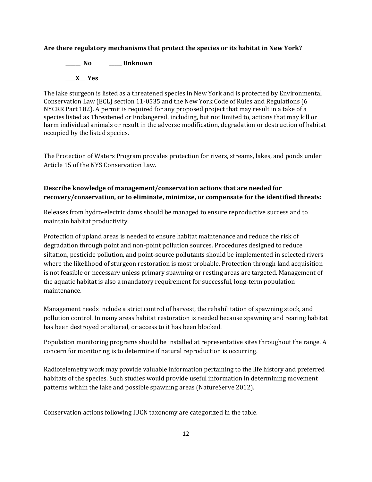## **Are there regulatory mechanisms that protect the species or its habitat in New York?**

**\_\_\_\_\_\_ No \_\_\_\_\_ Unknown \_\_\_\_X\_\_ Yes** 

The lake sturgeon is listed as a threatened species in New York and is protected by Environmental Conservation Law (ECL) section 11-0535 and the New York Code of Rules and Regulations (6 NYCRR Part 182). A permit is required for any proposed project that may result in a take of a species listed as Threatened or Endangered, including, but not limited to, actions that may kill or harm individual animals or result in the adverse modification, degradation or destruction of habitat occupied by the listed species.

The Protection of Waters Program provides protection for rivers, streams, lakes, and ponds under Article 15 of the NYS Conservation Law.

## **Describe knowledge of management/conservation actions that are needed for recovery/conservation, or to eliminate, minimize, or compensate for the identified threats:**

Releases from hydro-electric dams should be managed to ensure reproductive success and to maintain habitat productivity.

Protection of upland areas is needed to ensure habitat maintenance and reduce the risk of degradation through point and non-point pollution sources. Procedures designed to reduce siltation, pesticide pollution, and point-source pollutants should be implemented in selected rivers where the likelihood of sturgeon restoration is most probable. Protection through land acquisition is not feasible or necessary unless primary spawning or resting areas are targeted. Management of the aquatic habitat is also a mandatory requirement for successful, long-term population maintenance.

Management needs include a strict control of harvest, the rehabilitation of spawning stock, and pollution control. In many areas habitat restoration is needed because spawning and rearing habitat has been destroyed or altered, or access to it has been blocked.

Population monitoring programs should be installed at representative sites throughout the range. A concern for monitoring is to determine if natural reproduction is occurring.

Radiotelemetry work may provide valuable information pertaining to the life history and preferred habitats of the species. Such studies would provide useful information in determining movement patterns within the lake and possible spawning areas (NatureServe 2012).

Conservation actions following IUCN taxonomy are categorized in the table.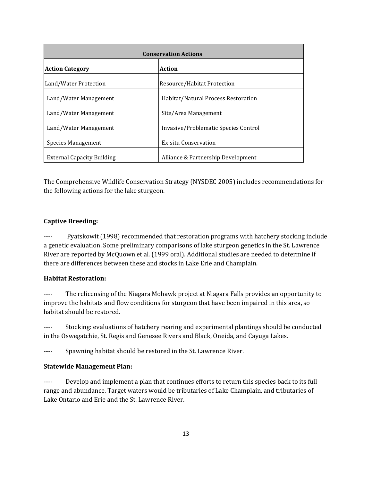| <b>Conservation Actions</b>       |                                      |  |
|-----------------------------------|--------------------------------------|--|
| Action<br><b>Action Category</b>  |                                      |  |
| Land/Water Protection             | Resource/Habitat Protection          |  |
| Land/Water Management             | Habitat/Natural Process Restoration  |  |
| Land/Water Management             | Site/Area Management                 |  |
| Land/Water Management             | Invasive/Problematic Species Control |  |
| Species Management                | <b>Ex-situ Conservation</b>          |  |
| <b>External Capacity Building</b> | Alliance & Partnership Development   |  |

The Comprehensive Wildlife Conservation Strategy (NYSDEC 2005) includes recommendations for the following actions for the lake sturgeon.

## **Captive Breeding:**

---- Pyatskowit (1998) recommended that restoration programs with hatchery stocking include a genetic evaluation. Some preliminary comparisons of lake sturgeon genetics in the St. Lawrence River are reported by McQuown et al. (1999 oral). Additional studies are needed to determine if there are differences between these and stocks in Lake Erie and Champlain.

## **Habitat Restoration:**

---- The relicensing of the Niagara Mohawk project at Niagara Falls provides an opportunity to improve the habitats and flow conditions for sturgeon that have been impaired in this area, so habitat should be restored.

---- Stocking: evaluations of hatchery rearing and experimental plantings should be conducted in the Oswegatchie, St. Regis and Genesee Rivers and Black, Oneida, and Cayuga Lakes.

---- Spawning habitat should be restored in the St. Lawrence River.

#### **Statewide Management Plan:**

---- Develop and implement a plan that continues efforts to return this species back to its full range and abundance. Target waters would be tributaries of Lake Champlain, and tributaries of Lake Ontario and Erie and the St. Lawrence River.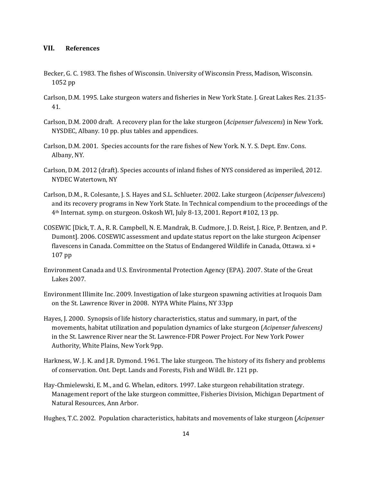### **VII. References**

- Becker, G. C. 1983. The fishes of Wisconsin. University of Wisconsin Press, Madison, Wisconsin. 1052 pp
- Carlson, D.M. 1995. Lake sturgeon waters and fisheries in New York State. J. Great Lakes Res. 21:35- 41.
- Carlson, D.M. 2000 draft. A recovery plan for the lake sturgeon (*Acipenser fulvescens*) in New York. NYSDEC, Albany. 10 pp. plus tables and appendices.
- Carlson, D.M. 2001. Species accounts for the rare fishes of New York. N. Y. S. Dept. Env. Cons. Albany, NY.
- Carlson, D.M. 2012 (draft). Species accounts of inland fishes of NYS considered as imperiled, 2012. NYDEC Watertown, NY
- Carlson, D.M., R. Colesante, J. S. Hayes and S.L. Schlueter. 2002. Lake sturgeon (*Acipenser fulvescens*) and its recovery programs in New York State. In Technical compendium to the proceedings of the 4th Internat. symp. on sturgeon. Oskosh WI, July 8-13, 2001. Report #102, 13 pp.
- COSEWIC [Dick, T. A., R. R. Campbell, N. E. Mandrak, B. Cudmore, J. D. Reist, J. Rice, P. Bentzen, and P. Dumont]. 2006. COSEWIC assessment and update status report on the lake sturgeon Acipenser flavescens in Canada. Committee on the Status of Endangered Wildlife in Canada, Ottawa. xi + 107 pp
- Environment Canada and U.S. Environmental Protection Agency (EPA). 2007. State of the Great Lakes 2007.
- Environment Illimite Inc. 2009. Investigation of lake sturgeon spawning activities at Iroquois Dam on the St. Lawrence River in 2008. NYPA White Plains, NY 33pp
- Hayes, J. 2000. Synopsis of life history characteristics, status and summary, in part, of the movements, habitat utilization and population dynamics of lake sturgeon (*Acipenser fulvescens)* in the St. Lawrence River near the St. Lawrence-FDR Power Project. For New York Power Authority, White Plains, New York 9pp.
- Harkness, W. J. K. and J.R. Dymond. 1961. The lake sturgeon. The history of its fishery and problems of conservation. Ont. Dept. Lands and Forests, Fish and Wildl. Br. 121 pp.
- Hay-Chmielewski, E. M., and G. Whelan, editors. 1997. Lake sturgeon rehabilitation strategy. Management report of the lake sturgeon committee, Fisheries Division, Michigan Department of Natural Resources, Ann Arbor.

Hughes, T.C. 2002. Population characteristics, habitats and movements of lake sturgeon (*Acipenser*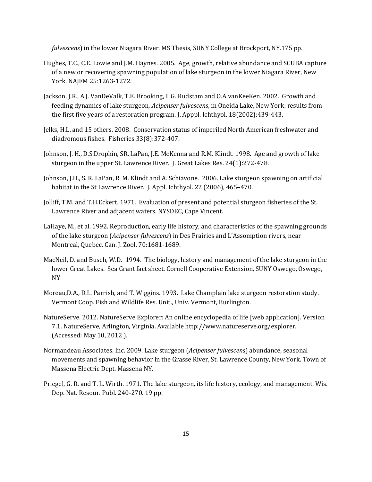*fulvescens*) in the lower Niagara River. MS Thesis, SUNY College at Brockport, NY.175 pp.

- Hughes, T.C., C.E. Lowie and J.M. Haynes. 2005. Age, growth, relative abundance and SCUBA capture of a new or recovering spawning population of lake sturgeon in the lower Niagara River, New York. NAJFM 25:1263-1272.
- Jackson, J.R., A.J. VanDeValk, T.E. Brooking, L.G. Rudstam and O.A vanKeeKen. 2002. Growth and feeding dynamics of lake sturgeon, *Acipenser fulvescens*, in Oneida Lake, New York: results from the first five years of a restoration program. J. Apppl. Ichthyol. 18(2002):439-443.
- Jelks, H.L. and 15 others. 2008. Conservation status of imperiled North American freshwater and diadromous fishes. Fisheries 33(8):372-407.
- Johnson, J. H., D.S.Dropkin, SR. LaPan, J.E. McKenna and R.M. Klindt. 1998. Age and growth of lake sturgeon in the upper St. Lawrence River. J. Great Lakes Res. 24(1):272-478.
- Johnson, J.H., S. R. LaPan, R. M. Klindt and A. Schiavone. 2006. Lake sturgeon spawning on artificial habitat in the St Lawrence River. J. Appl. Ichthyol. 22 (2006), 465–470.
- Jolliff, T.M. and T.H.Eckert. 1971. Evaluation of present and potential sturgeon fisheries of the St. Lawrence River and adjacent waters. NYSDEC, Cape Vincent.
- LaHaye, M., et al. 1992. Reproduction, early life history, and characteristics of the spawning grounds of the lake sturgeon (*Acipenser fulvescens*) in Des Prairies and L'Assomption rivers, near Montreal, Quebec. Can. J. Zool. 70:1681-1689.
- MacNeil, D. and Busch, W.D. 1994. The biology, history and management of the lake sturgeon in the lower Great Lakes. Sea Grant fact sheet. Cornell Cooperative Extension, SUNY Oswego, Oswego, NY
- Moreau,D.A., D.L. Parrish, and T. Wiggins. 1993. Lake Champlain lake sturgeon restoration study. Vermont Coop. Fish and Wildlife Res. Unit., Univ. Vermont, Burlington.
- NatureServe. 2012. NatureServe Explorer: An online encyclopedia of life [web application]. Version 7.1. NatureServe, Arlington, Virginia. Available http://www.natureserve.org/explorer. (Accessed: May 10, 2012 ).
- Normandeau Associates. Inc. 2009. Lake sturgeon (*Acipenser fulvescens*) abundance, seasonal movements and spawning behavior in the Grasse River, St. Lawrence County, New York. Town of Massena Electric Dept. Massena NY.
- Priegel, G. R. and T. L. Wirth. 1971. The lake sturgeon, its life history, ecology, and management. Wis. Dep. Nat. Resour. Publ. 240-270. 19 pp.